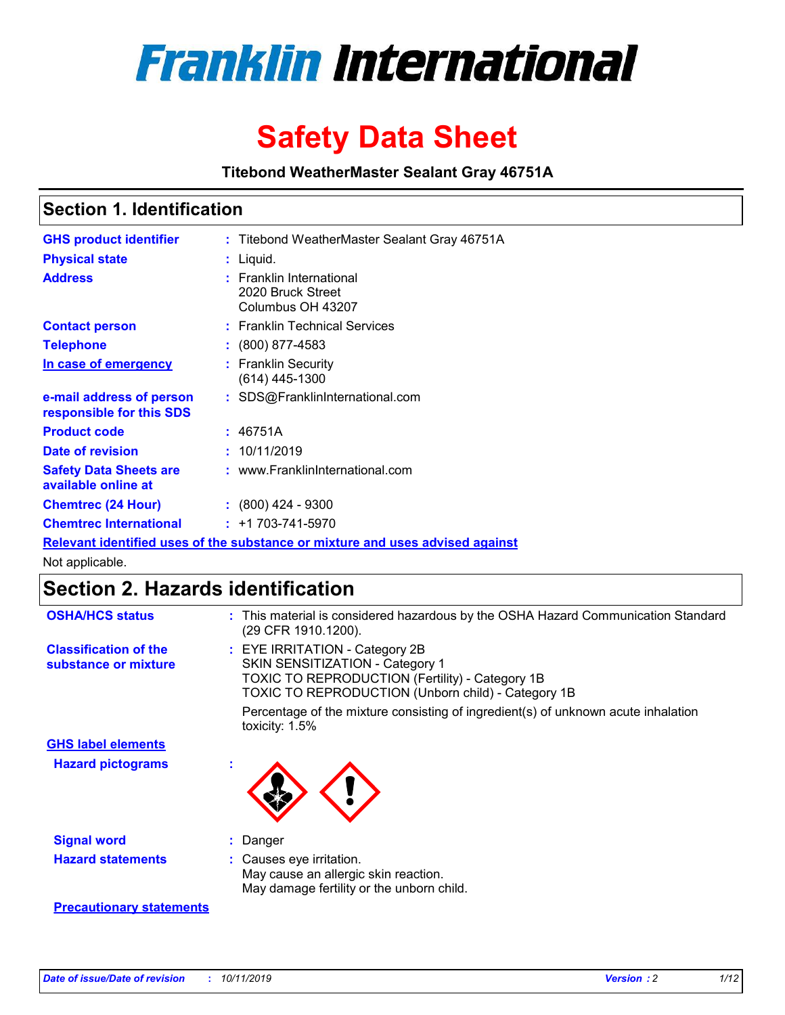

# **Safety Data Sheet**

**Titebond WeatherMaster Sealant Gray 46751A**

### **Section 1. Identification**

| <b>GHS product identifier</b>                                                 |  | : Titebond WeatherMaster Sealant Gray 46751A                       |  |  |  |
|-------------------------------------------------------------------------------|--|--------------------------------------------------------------------|--|--|--|
| <b>Physical state</b>                                                         |  | : Liquid.                                                          |  |  |  |
| <b>Address</b>                                                                |  | : Franklin International<br>2020 Bruck Street<br>Columbus OH 43207 |  |  |  |
| <b>Contact person</b>                                                         |  | : Franklin Technical Services                                      |  |  |  |
| <b>Telephone</b>                                                              |  | $\colon$ (800) 877-4583                                            |  |  |  |
| In case of emergency                                                          |  | : Franklin Security<br>(614) 445-1300                              |  |  |  |
| e-mail address of person<br>responsible for this SDS                          |  | : SDS@FranklinInternational.com                                    |  |  |  |
| <b>Product code</b>                                                           |  | : 46751A                                                           |  |  |  |
| Date of revision                                                              |  | : 10/11/2019                                                       |  |  |  |
| <b>Safety Data Sheets are</b><br>available online at                          |  | : www.FranklinInternational.com                                    |  |  |  |
| <b>Chemtrec (24 Hour)</b>                                                     |  | $\div$ (800) 424 - 9300                                            |  |  |  |
| <b>Chemtrec International</b>                                                 |  | $: +1703 - 741 - 5970$                                             |  |  |  |
| Relevant identified uses of the substance or mixture and uses advised against |  |                                                                    |  |  |  |

Not applicable.

## **Section 2. Hazards identification**

| <b>OSHA/HCS status</b>                               | : This material is considered hazardous by the OSHA Hazard Communication Standard<br>(29 CFR 1910.1200).                                                                          |
|------------------------------------------------------|-----------------------------------------------------------------------------------------------------------------------------------------------------------------------------------|
| <b>Classification of the</b><br>substance or mixture | : EYE IRRITATION - Category 2B<br>SKIN SENSITIZATION - Category 1<br><b>TOXIC TO REPRODUCTION (Fertility) - Category 1B</b><br>TOXIC TO REPRODUCTION (Unborn child) - Category 1B |
|                                                      | Percentage of the mixture consisting of ingredient(s) of unknown acute inhalation<br>toxicity: $1.5\%$                                                                            |
| <b>GHS label elements</b>                            |                                                                                                                                                                                   |
| <b>Hazard pictograms</b>                             |                                                                                                                                                                                   |
| <b>Signal word</b>                                   | : Danger                                                                                                                                                                          |
| <b>Hazard statements</b>                             | : Causes eye irritation.<br>May cause an allergic skin reaction.<br>May damage fertility or the unborn child.                                                                     |
| <b>Precautionary statements</b>                      |                                                                                                                                                                                   |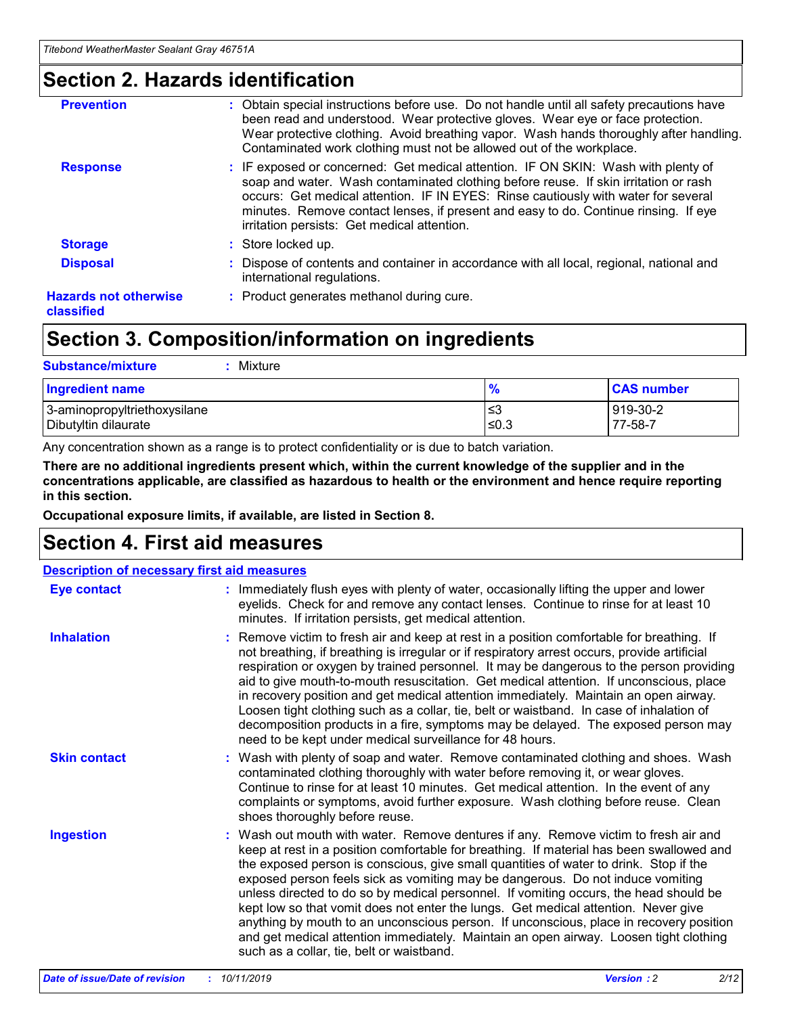### **Section 2. Hazards identification**

| <b>Prevention</b>                          | : Obtain special instructions before use. Do not handle until all safety precautions have<br>been read and understood. Wear protective gloves. Wear eye or face protection.<br>Wear protective clothing. Avoid breathing vapor. Wash hands thoroughly after handling.<br>Contaminated work clothing must not be allowed out of the workplace.                                                        |
|--------------------------------------------|------------------------------------------------------------------------------------------------------------------------------------------------------------------------------------------------------------------------------------------------------------------------------------------------------------------------------------------------------------------------------------------------------|
| <b>Response</b>                            | : IF exposed or concerned: Get medical attention. IF ON SKIN: Wash with plenty of<br>soap and water. Wash contaminated clothing before reuse. If skin irritation or rash<br>occurs: Get medical attention. IF IN EYES: Rinse cautiously with water for several<br>minutes. Remove contact lenses, if present and easy to do. Continue rinsing. If eye<br>irritation persists: Get medical attention. |
| <b>Storage</b>                             | : Store locked up.                                                                                                                                                                                                                                                                                                                                                                                   |
| <b>Disposal</b>                            | : Dispose of contents and container in accordance with all local, regional, national and<br>international regulations.                                                                                                                                                                                                                                                                               |
| <b>Hazards not otherwise</b><br>classified | : Product generates methanol during cure.                                                                                                                                                                                                                                                                                                                                                            |
|                                            |                                                                                                                                                                                                                                                                                                                                                                                                      |

### **Section 3. Composition/information on ingredients**

| <b>Substance/mixture</b><br>: Mixture                |               |                     |
|------------------------------------------------------|---------------|---------------------|
| Ingredient name                                      | $\frac{9}{6}$ | <b>CAS number</b>   |
| 3-aminopropyltriethoxysilane<br>Dibutyltin dilaurate | צ≥<br>≤0.3    | 919-30-2<br>77-58-7 |

Any concentration shown as a range is to protect confidentiality or is due to batch variation.

**There are no additional ingredients present which, within the current knowledge of the supplier and in the concentrations applicable, are classified as hazardous to health or the environment and hence require reporting in this section.**

**Occupational exposure limits, if available, are listed in Section 8.**

### **Section 4. First aid measures**

| <b>Description of necessary first aid measures</b> |                                                                                                                                                                                                                                                                                                                                                                                                                                                                                                                                                                                                                                                                                                                                                                           |  |  |  |
|----------------------------------------------------|---------------------------------------------------------------------------------------------------------------------------------------------------------------------------------------------------------------------------------------------------------------------------------------------------------------------------------------------------------------------------------------------------------------------------------------------------------------------------------------------------------------------------------------------------------------------------------------------------------------------------------------------------------------------------------------------------------------------------------------------------------------------------|--|--|--|
| <b>Eye contact</b>                                 | : Immediately flush eyes with plenty of water, occasionally lifting the upper and lower<br>eyelids. Check for and remove any contact lenses. Continue to rinse for at least 10<br>minutes. If irritation persists, get medical attention.                                                                                                                                                                                                                                                                                                                                                                                                                                                                                                                                 |  |  |  |
| <b>Inhalation</b>                                  | : Remove victim to fresh air and keep at rest in a position comfortable for breathing. If<br>not breathing, if breathing is irregular or if respiratory arrest occurs, provide artificial<br>respiration or oxygen by trained personnel. It may be dangerous to the person providing<br>aid to give mouth-to-mouth resuscitation. Get medical attention. If unconscious, place<br>in recovery position and get medical attention immediately. Maintain an open airway.<br>Loosen tight clothing such as a collar, tie, belt or waistband. In case of inhalation of<br>decomposition products in a fire, symptoms may be delayed. The exposed person may<br>need to be kept under medical surveillance for 48 hours.                                                       |  |  |  |
| <b>Skin contact</b>                                | : Wash with plenty of soap and water. Remove contaminated clothing and shoes. Wash<br>contaminated clothing thoroughly with water before removing it, or wear gloves.<br>Continue to rinse for at least 10 minutes. Get medical attention. In the event of any<br>complaints or symptoms, avoid further exposure. Wash clothing before reuse. Clean<br>shoes thoroughly before reuse.                                                                                                                                                                                                                                                                                                                                                                                     |  |  |  |
| <b>Ingestion</b>                                   | : Wash out mouth with water. Remove dentures if any. Remove victim to fresh air and<br>keep at rest in a position comfortable for breathing. If material has been swallowed and<br>the exposed person is conscious, give small quantities of water to drink. Stop if the<br>exposed person feels sick as vomiting may be dangerous. Do not induce vomiting<br>unless directed to do so by medical personnel. If vomiting occurs, the head should be<br>kept low so that vomit does not enter the lungs. Get medical attention. Never give<br>anything by mouth to an unconscious person. If unconscious, place in recovery position<br>and get medical attention immediately. Maintain an open airway. Loosen tight clothing<br>such as a collar, tie, belt or waistband. |  |  |  |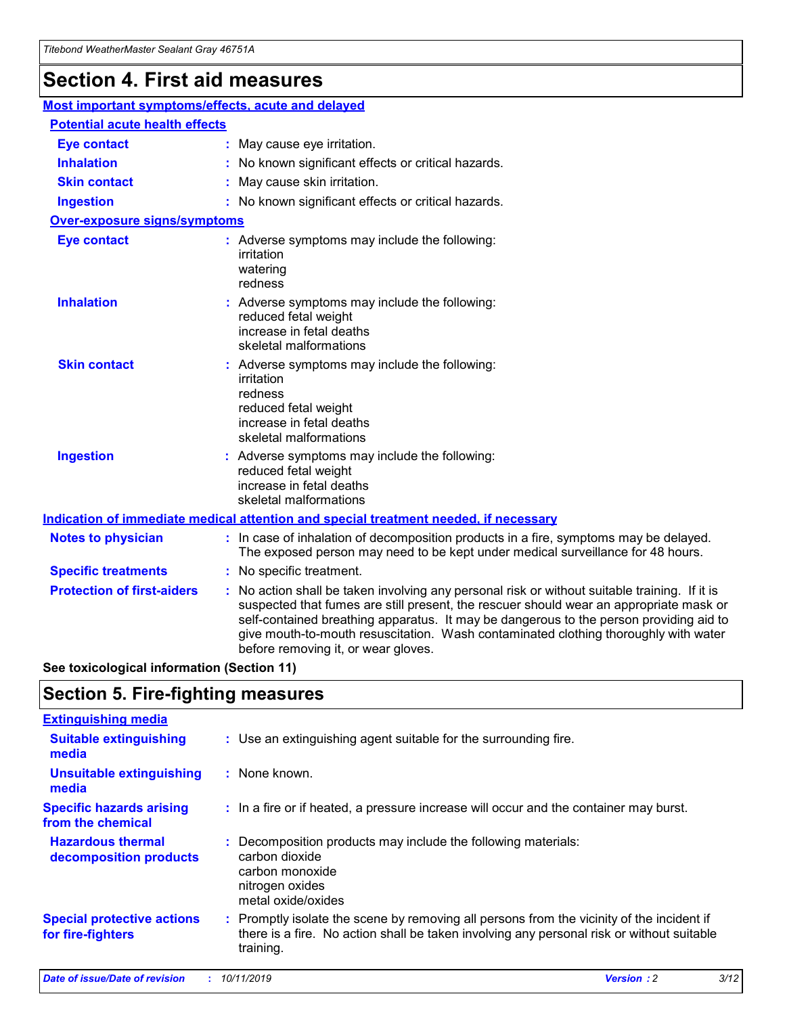## **Section 4. First aid measures**

| Most important symptoms/effects, acute and delayed |                                       |                                                                                                                                                                                                                                                                                                                                                                                                                 |  |  |  |
|----------------------------------------------------|---------------------------------------|-----------------------------------------------------------------------------------------------------------------------------------------------------------------------------------------------------------------------------------------------------------------------------------------------------------------------------------------------------------------------------------------------------------------|--|--|--|
|                                                    | <b>Potential acute health effects</b> |                                                                                                                                                                                                                                                                                                                                                                                                                 |  |  |  |
| <b>Eye contact</b>                                 |                                       | : May cause eye irritation.                                                                                                                                                                                                                                                                                                                                                                                     |  |  |  |
| <b>Inhalation</b>                                  |                                       | : No known significant effects or critical hazards.                                                                                                                                                                                                                                                                                                                                                             |  |  |  |
| <b>Skin contact</b>                                |                                       | : May cause skin irritation.                                                                                                                                                                                                                                                                                                                                                                                    |  |  |  |
| <b>Ingestion</b>                                   |                                       | : No known significant effects or critical hazards.                                                                                                                                                                                                                                                                                                                                                             |  |  |  |
| <b>Over-exposure signs/symptoms</b>                |                                       |                                                                                                                                                                                                                                                                                                                                                                                                                 |  |  |  |
| <b>Eye contact</b>                                 |                                       | : Adverse symptoms may include the following:<br>irritation<br>watering<br>redness                                                                                                                                                                                                                                                                                                                              |  |  |  |
| <b>Inhalation</b>                                  |                                       | : Adverse symptoms may include the following:<br>reduced fetal weight<br>increase in fetal deaths<br>skeletal malformations                                                                                                                                                                                                                                                                                     |  |  |  |
| <b>Skin contact</b>                                |                                       | : Adverse symptoms may include the following:<br>irritation<br>redness<br>reduced fetal weight<br>increase in fetal deaths<br>skeletal malformations                                                                                                                                                                                                                                                            |  |  |  |
| <b>Ingestion</b>                                   |                                       | : Adverse symptoms may include the following:<br>reduced fetal weight<br>increase in fetal deaths<br>skeletal malformations                                                                                                                                                                                                                                                                                     |  |  |  |
|                                                    |                                       | <b>Indication of immediate medical attention and special treatment needed, if necessary</b>                                                                                                                                                                                                                                                                                                                     |  |  |  |
| <b>Notes to physician</b>                          |                                       | : In case of inhalation of decomposition products in a fire, symptoms may be delayed.<br>The exposed person may need to be kept under medical surveillance for 48 hours.                                                                                                                                                                                                                                        |  |  |  |
| <b>Specific treatments</b>                         |                                       | : No specific treatment.                                                                                                                                                                                                                                                                                                                                                                                        |  |  |  |
| <b>Protection of first-aiders</b>                  |                                       | : No action shall be taken involving any personal risk or without suitable training. If it is<br>suspected that fumes are still present, the rescuer should wear an appropriate mask or<br>self-contained breathing apparatus. It may be dangerous to the person providing aid to<br>give mouth-to-mouth resuscitation. Wash contaminated clothing thoroughly with water<br>before removing it, or wear gloves. |  |  |  |

**See toxicological information (Section 11)**

### **Section 5. Fire-fighting measures**

| <b>Extinguishing media</b>                             |                                                                                                                                                                                                     |
|--------------------------------------------------------|-----------------------------------------------------------------------------------------------------------------------------------------------------------------------------------------------------|
| <b>Suitable extinguishing</b><br>media                 | : Use an extinguishing agent suitable for the surrounding fire.                                                                                                                                     |
| <b>Unsuitable extinguishing</b><br>media               | : None known.                                                                                                                                                                                       |
| <b>Specific hazards arising</b><br>from the chemical   | : In a fire or if heated, a pressure increase will occur and the container may burst.                                                                                                               |
| <b>Hazardous thermal</b><br>decomposition products     | : Decomposition products may include the following materials:<br>carbon dioxide<br>carbon monoxide<br>nitrogen oxides<br>metal oxide/oxides                                                         |
| <b>Special protective actions</b><br>for fire-fighters | : Promptly isolate the scene by removing all persons from the vicinity of the incident if<br>there is a fire. No action shall be taken involving any personal risk or without suitable<br>training. |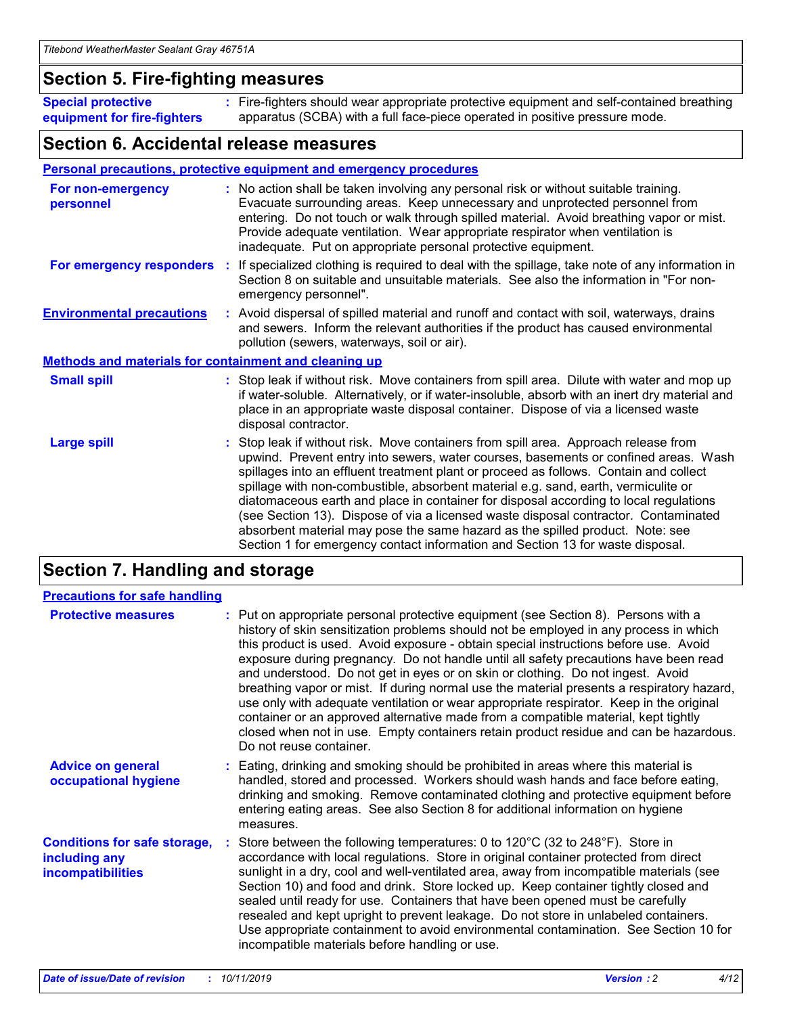### **Section 5. Fire-fighting measures**

**Special protective equipment for fire-fighters** Fire-fighters should wear appropriate protective equipment and self-contained breathing **:** apparatus (SCBA) with a full face-piece operated in positive pressure mode.

### **Section 6. Accidental release measures**

#### **Personal precautions, protective equipment and emergency procedures**

| For non-emergency<br>personnel                               | : No action shall be taken involving any personal risk or without suitable training.<br>Evacuate surrounding areas. Keep unnecessary and unprotected personnel from<br>entering. Do not touch or walk through spilled material. Avoid breathing vapor or mist.<br>Provide adequate ventilation. Wear appropriate respirator when ventilation is<br>inadequate. Put on appropriate personal protective equipment.                                                                                                                                                                                                                                                                                             |
|--------------------------------------------------------------|--------------------------------------------------------------------------------------------------------------------------------------------------------------------------------------------------------------------------------------------------------------------------------------------------------------------------------------------------------------------------------------------------------------------------------------------------------------------------------------------------------------------------------------------------------------------------------------------------------------------------------------------------------------------------------------------------------------|
| For emergency responders                                     | : If specialized clothing is required to deal with the spillage, take note of any information in<br>Section 8 on suitable and unsuitable materials. See also the information in "For non-<br>emergency personnel".                                                                                                                                                                                                                                                                                                                                                                                                                                                                                           |
| <b>Environmental precautions</b>                             | : Avoid dispersal of spilled material and runoff and contact with soil, waterways, drains<br>and sewers. Inform the relevant authorities if the product has caused environmental<br>pollution (sewers, waterways, soil or air).                                                                                                                                                                                                                                                                                                                                                                                                                                                                              |
| <b>Methods and materials for containment and cleaning up</b> |                                                                                                                                                                                                                                                                                                                                                                                                                                                                                                                                                                                                                                                                                                              |
| <b>Small spill</b>                                           | : Stop leak if without risk. Move containers from spill area. Dilute with water and mop up<br>if water-soluble. Alternatively, or if water-insoluble, absorb with an inert dry material and<br>place in an appropriate waste disposal container. Dispose of via a licensed waste<br>disposal contractor.                                                                                                                                                                                                                                                                                                                                                                                                     |
| <b>Large spill</b>                                           | : Stop leak if without risk. Move containers from spill area. Approach release from<br>upwind. Prevent entry into sewers, water courses, basements or confined areas. Wash<br>spillages into an effluent treatment plant or proceed as follows. Contain and collect<br>spillage with non-combustible, absorbent material e.g. sand, earth, vermiculite or<br>diatomaceous earth and place in container for disposal according to local regulations<br>(see Section 13). Dispose of via a licensed waste disposal contractor. Contaminated<br>absorbent material may pose the same hazard as the spilled product. Note: see<br>Section 1 for emergency contact information and Section 13 for waste disposal. |

### **Section 7. Handling and storage**

| <b>Precautions for safe handling</b>                                             |                                                                                                                                                                                                                                                                                                                                                                                                                                                                                                                                                                                                                                                                                                                                                                                                                                                  |
|----------------------------------------------------------------------------------|--------------------------------------------------------------------------------------------------------------------------------------------------------------------------------------------------------------------------------------------------------------------------------------------------------------------------------------------------------------------------------------------------------------------------------------------------------------------------------------------------------------------------------------------------------------------------------------------------------------------------------------------------------------------------------------------------------------------------------------------------------------------------------------------------------------------------------------------------|
| <b>Protective measures</b>                                                       | : Put on appropriate personal protective equipment (see Section 8). Persons with a<br>history of skin sensitization problems should not be employed in any process in which<br>this product is used. Avoid exposure - obtain special instructions before use. Avoid<br>exposure during pregnancy. Do not handle until all safety precautions have been read<br>and understood. Do not get in eyes or on skin or clothing. Do not ingest. Avoid<br>breathing vapor or mist. If during normal use the material presents a respiratory hazard,<br>use only with adequate ventilation or wear appropriate respirator. Keep in the original<br>container or an approved alternative made from a compatible material, kept tightly<br>closed when not in use. Empty containers retain product residue and can be hazardous.<br>Do not reuse container. |
| <b>Advice on general</b><br>occupational hygiene                                 | : Eating, drinking and smoking should be prohibited in areas where this material is<br>handled, stored and processed. Workers should wash hands and face before eating,<br>drinking and smoking. Remove contaminated clothing and protective equipment before<br>entering eating areas. See also Section 8 for additional information on hygiene<br>measures.                                                                                                                                                                                                                                                                                                                                                                                                                                                                                    |
| <b>Conditions for safe storage,</b><br>including any<br><b>incompatibilities</b> | : Store between the following temperatures: 0 to 120 $\degree$ C (32 to 248 $\degree$ F). Store in<br>accordance with local regulations. Store in original container protected from direct<br>sunlight in a dry, cool and well-ventilated area, away from incompatible materials (see<br>Section 10) and food and drink. Store locked up. Keep container tightly closed and<br>sealed until ready for use. Containers that have been opened must be carefully<br>resealed and kept upright to prevent leakage. Do not store in unlabeled containers.<br>Use appropriate containment to avoid environmental contamination. See Section 10 for<br>incompatible materials before handling or use.                                                                                                                                                   |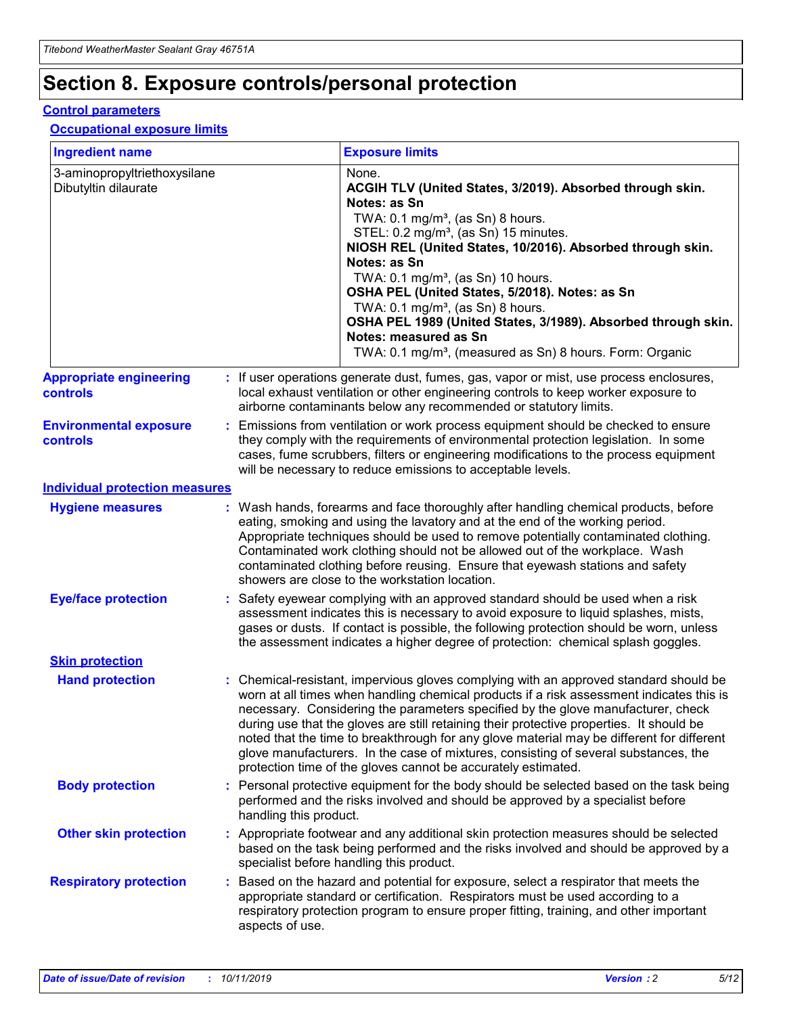## **Section 8. Exposure controls/personal protection**

#### **Control parameters**

#### **Occupational exposure limits**

| <b>Ingredient name</b>                               |    |                                          | <b>Exposure limits</b>                                                                                                                                                                                                                                                                                                                                                                                                                                                                                                                                                                                                 |
|------------------------------------------------------|----|------------------------------------------|------------------------------------------------------------------------------------------------------------------------------------------------------------------------------------------------------------------------------------------------------------------------------------------------------------------------------------------------------------------------------------------------------------------------------------------------------------------------------------------------------------------------------------------------------------------------------------------------------------------------|
| 3-aminopropyltriethoxysilane<br>Dibutyltin dilaurate |    |                                          | None.<br>ACGIH TLV (United States, 3/2019). Absorbed through skin.<br>Notes: as Sn<br>TWA: 0.1 mg/m <sup>3</sup> , (as Sn) 8 hours.<br>STEL: 0.2 mg/m <sup>3</sup> , (as Sn) 15 minutes.<br>NIOSH REL (United States, 10/2016). Absorbed through skin.<br>Notes: as Sn<br>TWA: 0.1 mg/m <sup>3</sup> , (as Sn) 10 hours.<br>OSHA PEL (United States, 5/2018). Notes: as Sn<br>TWA: $0.1 \text{ mg/m}^3$ , (as Sn) 8 hours.<br>OSHA PEL 1989 (United States, 3/1989). Absorbed through skin.<br>Notes: measured as Sn<br>TWA: 0.1 mg/m <sup>3</sup> , (measured as Sn) 8 hours. Form: Organic                           |
| <b>Appropriate engineering</b><br>controls           |    |                                          | : If user operations generate dust, fumes, gas, vapor or mist, use process enclosures,<br>local exhaust ventilation or other engineering controls to keep worker exposure to<br>airborne contaminants below any recommended or statutory limits.                                                                                                                                                                                                                                                                                                                                                                       |
| <b>Environmental exposure</b><br><b>controls</b>     |    |                                          | Emissions from ventilation or work process equipment should be checked to ensure<br>they comply with the requirements of environmental protection legislation. In some<br>cases, fume scrubbers, filters or engineering modifications to the process equipment<br>will be necessary to reduce emissions to acceptable levels.                                                                                                                                                                                                                                                                                          |
| <b>Individual protection measures</b>                |    |                                          |                                                                                                                                                                                                                                                                                                                                                                                                                                                                                                                                                                                                                        |
| <b>Hygiene measures</b>                              |    |                                          | : Wash hands, forearms and face thoroughly after handling chemical products, before<br>eating, smoking and using the lavatory and at the end of the working period.<br>Appropriate techniques should be used to remove potentially contaminated clothing.<br>Contaminated work clothing should not be allowed out of the workplace. Wash<br>contaminated clothing before reusing. Ensure that eyewash stations and safety<br>showers are close to the workstation location.                                                                                                                                            |
| <b>Eye/face protection</b>                           |    |                                          | : Safety eyewear complying with an approved standard should be used when a risk<br>assessment indicates this is necessary to avoid exposure to liquid splashes, mists,<br>gases or dusts. If contact is possible, the following protection should be worn, unless<br>the assessment indicates a higher degree of protection: chemical splash goggles.                                                                                                                                                                                                                                                                  |
| <b>Skin protection</b>                               |    |                                          |                                                                                                                                                                                                                                                                                                                                                                                                                                                                                                                                                                                                                        |
| <b>Hand protection</b>                               |    |                                          | : Chemical-resistant, impervious gloves complying with an approved standard should be<br>worn at all times when handling chemical products if a risk assessment indicates this is<br>necessary. Considering the parameters specified by the glove manufacturer, check<br>during use that the gloves are still retaining their protective properties. It should be<br>noted that the time to breakthrough for any glove material may be different for different<br>glove manufacturers. In the case of mixtures, consisting of several substances, the<br>protection time of the gloves cannot be accurately estimated. |
| <b>Body protection</b>                               |    | handling this product.                   | Personal protective equipment for the body should be selected based on the task being<br>performed and the risks involved and should be approved by a specialist before                                                                                                                                                                                                                                                                                                                                                                                                                                                |
| <b>Other skin protection</b>                         |    | specialist before handling this product. | : Appropriate footwear and any additional skin protection measures should be selected<br>based on the task being performed and the risks involved and should be approved by a                                                                                                                                                                                                                                                                                                                                                                                                                                          |
| <b>Respiratory protection</b>                        | ÷. | aspects of use.                          | Based on the hazard and potential for exposure, select a respirator that meets the<br>appropriate standard or certification. Respirators must be used according to a<br>respiratory protection program to ensure proper fitting, training, and other important                                                                                                                                                                                                                                                                                                                                                         |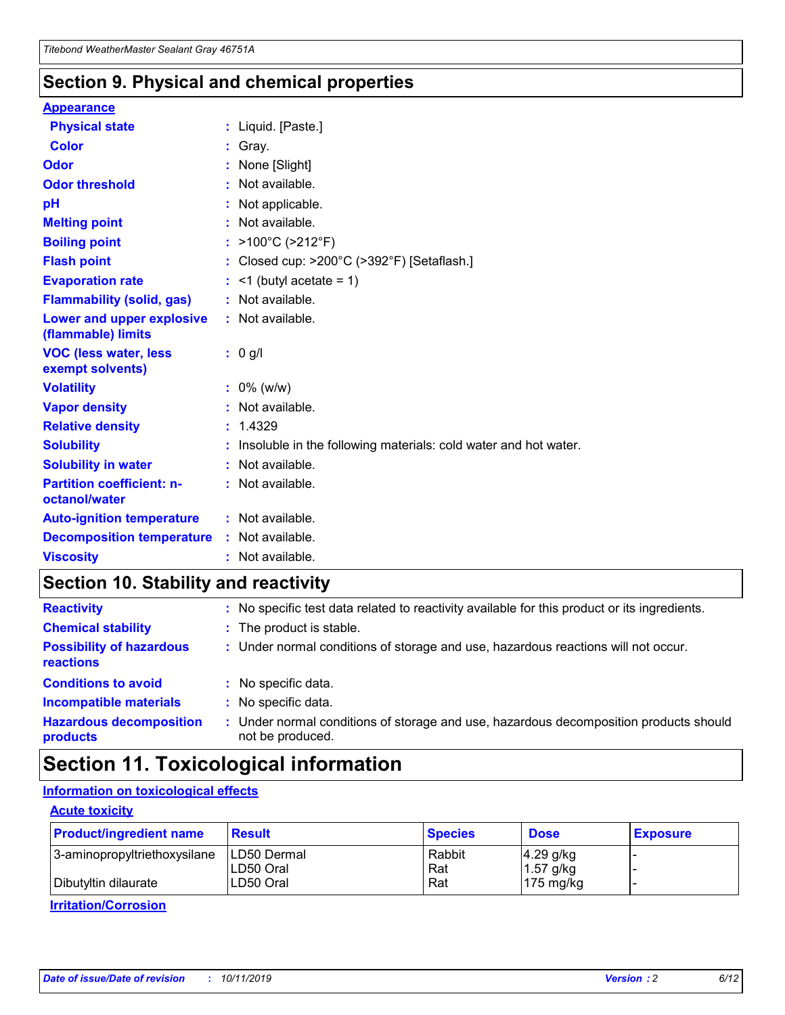### **Section 9. Physical and chemical properties**

#### **Appearance**

| <b>Physical state</b>                             | : Liquid. [Paste.]                                                |
|---------------------------------------------------|-------------------------------------------------------------------|
| Color                                             | Gray.                                                             |
| Odor                                              | None [Slight]                                                     |
| <b>Odor threshold</b>                             | : Not available.                                                  |
| рH                                                | : Not applicable.                                                 |
| <b>Melting point</b>                              | : Not available.                                                  |
| <b>Boiling point</b>                              | : $>100^{\circ}$ C ( $>212^{\circ}$ F)                            |
| <b>Flash point</b>                                | : Closed cup: $>200^{\circ}$ C ( $>392^{\circ}$ F) [Setaflash.]   |
| <b>Evaporation rate</b>                           | $:$ <1 (butyl acetate = 1)                                        |
| <b>Flammability (solid, gas)</b>                  | : Not available.                                                  |
| Lower and upper explosive<br>(flammable) limits   | : Not available.                                                  |
| <b>VOC (less water, less</b><br>exempt solvents)  | $: 0$ g/l                                                         |
| <b>Volatility</b>                                 | $: 0\%$ (w/w)                                                     |
| <b>Vapor density</b>                              | : Not available.                                                  |
| <b>Relative density</b>                           | : 1.4329                                                          |
| <b>Solubility</b>                                 | : Insoluble in the following materials: cold water and hot water. |
| <b>Solubility in water</b>                        | : Not available.                                                  |
| <b>Partition coefficient: n-</b><br>octanol/water | : Not available.                                                  |
| <b>Auto-ignition temperature</b>                  | $:$ Not available.                                                |
| <b>Decomposition temperature</b>                  | : Not available.                                                  |
| <b>Viscosity</b>                                  | : Not available.                                                  |

### **Section 10. Stability and reactivity**

| <b>Reactivity</b>                            |    | : No specific test data related to reactivity available for this product or its ingredients.            |
|----------------------------------------------|----|---------------------------------------------------------------------------------------------------------|
| <b>Chemical stability</b>                    |    | : The product is stable.                                                                                |
| <b>Possibility of hazardous</b><br>reactions |    | : Under normal conditions of storage and use, hazardous reactions will not occur.                       |
| <b>Conditions to avoid</b>                   |    | : No specific data.                                                                                     |
| <b>Incompatible materials</b>                | ٠. | No specific data.                                                                                       |
| <b>Hazardous decomposition</b><br>products   | ÷. | Under normal conditions of storage and use, hazardous decomposition products should<br>not be produced. |

## **Section 11. Toxicological information**

### **Information on toxicological effects**

#### **Acute toxicity**

| <b>Product/ingredient name</b> | <b>Result</b>           | <b>Species</b> | <b>Dose</b>                | <b>Exposure</b> |
|--------------------------------|-------------------------|----------------|----------------------------|-----------------|
| 3-aminopropyltriethoxysilane   | <b>ILD50 Dermal</b>     | Rabbit         | 4.29 g/kg                  |                 |
| Dibutyltin dilaurate           | ILD50 Oral<br>LD50 Oral | Rat<br>Rat     | $1.57$ g/kg<br>175 $mg/kg$ |                 |
|                                |                         |                |                            |                 |

**Irritation/Corrosion**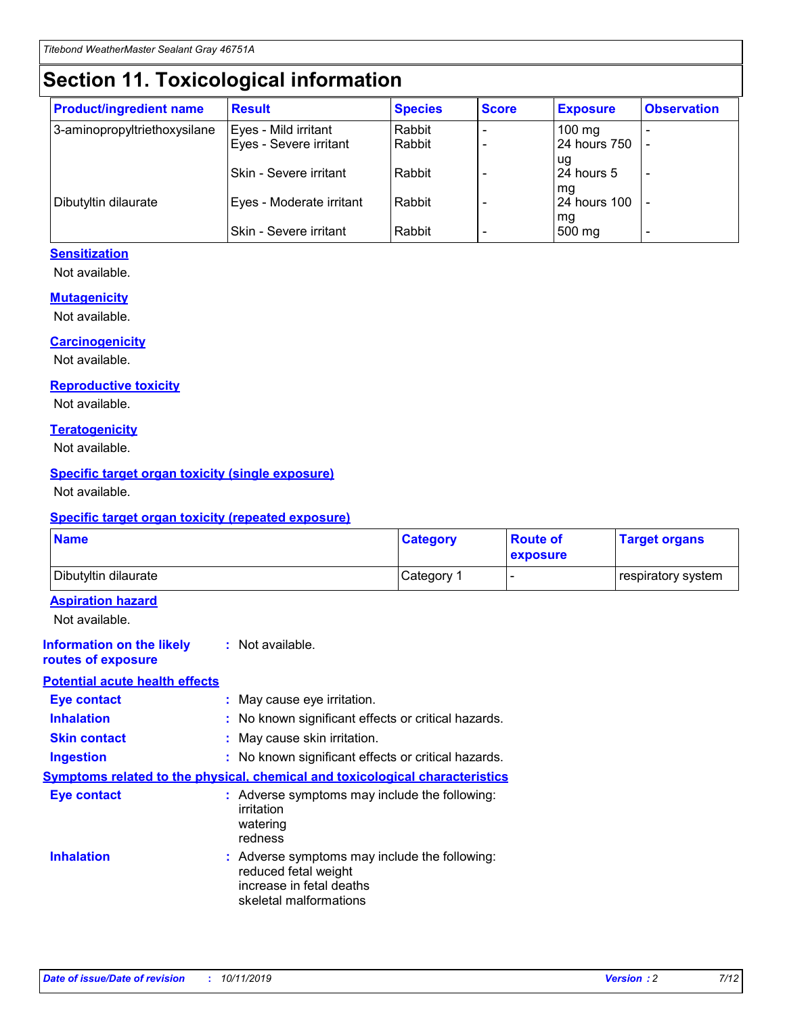## **Section 11. Toxicological information**

| <b>Product/ingredient name</b> | <b>Result</b>            | <b>Species</b> | <b>Score</b> | <b>Exposure</b>           | <b>Observation</b> |
|--------------------------------|--------------------------|----------------|--------------|---------------------------|--------------------|
| 3-aminopropyltriethoxysilane   | Eyes - Mild irritant     | Rabbit         |              | $100$ mg                  |                    |
|                                | Eyes - Severe irritant   | Rabbit         |              | 24 hours 750              |                    |
|                                |                          |                |              | ug                        |                    |
|                                | Skin - Severe irritant   | Rabbit         |              | 24 hours 5                | -                  |
| Dibutyltin dilaurate           | Eyes - Moderate irritant | Rabbit         |              | mq<br><b>24 hours 100</b> |                    |
|                                |                          |                |              | mg                        |                    |
|                                | Skin - Severe irritant   | Rabbit         |              | 500 mg                    |                    |

#### **Sensitization**

Not available.

#### **Mutagenicity**

Not available.

#### **Carcinogenicity**

Not available.

#### **Reproductive toxicity**

Not available.

#### **Teratogenicity**

Not available.

#### **Specific target organ toxicity (single exposure)**

Not available.

#### **Specific target organ toxicity (repeated exposure)**

| <b>Name</b>                                                                         |                                                                            | <b>Category</b>                                     | <b>Route of</b><br>exposure | <b>Target organs</b> |
|-------------------------------------------------------------------------------------|----------------------------------------------------------------------------|-----------------------------------------------------|-----------------------------|----------------------|
| Dibutyltin dilaurate                                                                |                                                                            | Category 1                                          | -                           | respiratory system   |
| <b>Aspiration hazard</b><br>Not available.                                          |                                                                            |                                                     |                             |                      |
| <b>Information on the likely</b><br>routes of exposure                              | : Not available.                                                           |                                                     |                             |                      |
| <b>Potential acute health effects</b>                                               |                                                                            |                                                     |                             |                      |
| <b>Eye contact</b>                                                                  | : May cause eye irritation.                                                |                                                     |                             |                      |
| <b>Inhalation</b>                                                                   |                                                                            | : No known significant effects or critical hazards. |                             |                      |
| <b>Skin contact</b>                                                                 | : May cause skin irritation.                                               |                                                     |                             |                      |
| <b>Ingestion</b>                                                                    |                                                                            | : No known significant effects or critical hazards. |                             |                      |
| <b>Symptoms related to the physical, chemical and toxicological characteristics</b> |                                                                            |                                                     |                             |                      |
| <b>Eye contact</b>                                                                  | irritation<br>watering<br>redness                                          | : Adverse symptoms may include the following:       |                             |                      |
| <b>Inhalation</b>                                                                   | reduced fetal weight<br>increase in fetal deaths<br>skeletal malformations | : Adverse symptoms may include the following:       |                             |                      |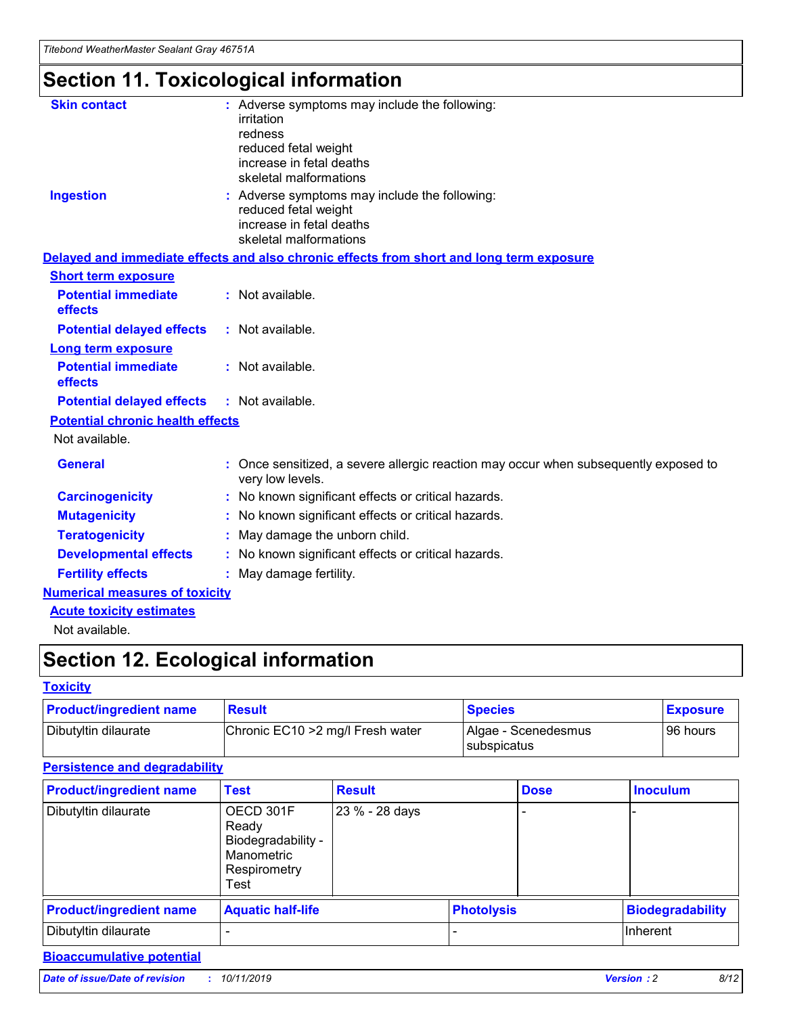# **Section 11. Toxicological information**

| <b>Skin contact</b>                     | : Adverse symptoms may include the following:<br>irritation<br>redness<br>reduced fetal weight<br>increase in fetal deaths<br>skeletal malformations |
|-----------------------------------------|------------------------------------------------------------------------------------------------------------------------------------------------------|
| <b>Ingestion</b>                        | : Adverse symptoms may include the following:<br>reduced fetal weight<br>increase in fetal deaths<br>skeletal malformations                          |
|                                         | Delayed and immediate effects and also chronic effects from short and long term exposure                                                             |
| <b>Short term exposure</b>              |                                                                                                                                                      |
| <b>Potential immediate</b><br>effects   | : Not available.                                                                                                                                     |
| <b>Potential delayed effects</b>        | : Not available.                                                                                                                                     |
| <b>Long term exposure</b>               |                                                                                                                                                      |
| <b>Potential immediate</b><br>effects   | : Not available.                                                                                                                                     |
| <b>Potential delayed effects</b>        | : Not available.                                                                                                                                     |
| <b>Potential chronic health effects</b> |                                                                                                                                                      |
| Not available.                          |                                                                                                                                                      |
| <b>General</b>                          | : Once sensitized, a severe allergic reaction may occur when subsequently exposed to<br>very low levels.                                             |
| <b>Carcinogenicity</b>                  | : No known significant effects or critical hazards.                                                                                                  |
| <b>Mutagenicity</b>                     | No known significant effects or critical hazards.                                                                                                    |
| <b>Teratogenicity</b>                   | May damage the unborn child.                                                                                                                         |
| <b>Developmental effects</b>            | : No known significant effects or critical hazards.                                                                                                  |
| <b>Fertility effects</b>                | : May damage fertility.                                                                                                                              |
| <b>Numerical measures of toxicity</b>   |                                                                                                                                                      |
| <b>Acute toxicity estimates</b>         |                                                                                                                                                      |
| .                                       |                                                                                                                                                      |

Not available.

## **Section 12. Ecological information**

#### **Toxicity**

| <b>Product/ingredient name</b> | <b>Result</b>                     | <b>Species</b>                       | <b>Exposure</b> |
|--------------------------------|-----------------------------------|--------------------------------------|-----------------|
| Dibutyltin dilaurate           | Chronic EC10 > 2 mg/l Fresh water | Algae - Scenedesmus<br>I subspicatus | l 96 hours      |

### **Persistence and degradability**

| <b>Product/ingredient name</b> | <b>Test</b>                                                                    | <b>Result</b>  |  | <b>Dose</b>       | <b>Inoculum</b>         |
|--------------------------------|--------------------------------------------------------------------------------|----------------|--|-------------------|-------------------------|
| Dibutyltin dilaurate           | OECD 301F<br>Ready<br>Biodegradability -<br>Manometric<br>Respirometry<br>Test | 23 % - 28 days |  |                   |                         |
| <b>Product/ingredient name</b> | <b>Aquatic half-life</b>                                                       |                |  | <b>Photolysis</b> | <b>Biodegradability</b> |
| Dibutyltin dilaurate           |                                                                                |                |  |                   | Inherent                |

### **Bioaccumulative potential**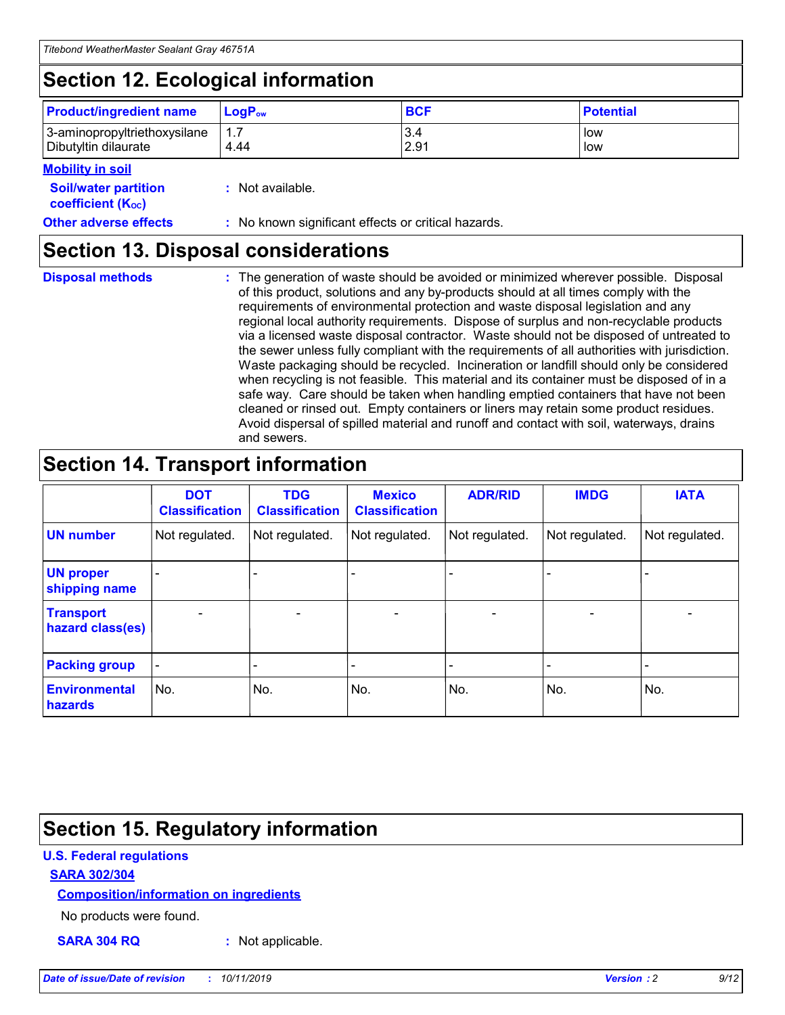## **Section 12. Ecological information**

| <b>Product/ingredient name</b> | $LoaPow$ | <b>BCF</b> | <b>Potential</b> |
|--------------------------------|----------|------------|------------------|
| 3-aminopropyltriethoxysilane   | 1.7      | 3.4        | low              |
| Dibutyltin dilaurate           | 4.44     | 2.91       | low              |

#### **Mobility in soil**

| <i></i>                                                       |                                                     |
|---------------------------------------------------------------|-----------------------------------------------------|
| <b>Soil/water partition</b><br>coefficient (K <sub>oc</sub> ) | : Not available.                                    |
| <b>Other adverse effects</b>                                  | : No known significant effects or critical hazards. |

### **Section 13. Disposal considerations**

**Disposal methods :**

The generation of waste should be avoided or minimized wherever possible. Disposal of this product, solutions and any by-products should at all times comply with the requirements of environmental protection and waste disposal legislation and any regional local authority requirements. Dispose of surplus and non-recyclable products via a licensed waste disposal contractor. Waste should not be disposed of untreated to the sewer unless fully compliant with the requirements of all authorities with jurisdiction. Waste packaging should be recycled. Incineration or landfill should only be considered when recycling is not feasible. This material and its container must be disposed of in a safe way. Care should be taken when handling emptied containers that have not been cleaned or rinsed out. Empty containers or liners may retain some product residues. Avoid dispersal of spilled material and runoff and contact with soil, waterways, drains and sewers.

## **Section 14. Transport information**

|                                      | <b>DOT</b><br><b>Classification</b> | <b>TDG</b><br><b>Classification</b> | <b>Mexico</b><br><b>Classification</b> | <b>ADR/RID</b>               | <b>IMDG</b>    | <b>IATA</b>    |
|--------------------------------------|-------------------------------------|-------------------------------------|----------------------------------------|------------------------------|----------------|----------------|
| <b>UN number</b>                     | Not regulated.                      | Not regulated.                      | Not regulated.                         | Not regulated.               | Not regulated. | Not regulated. |
| <b>UN proper</b><br>shipping name    |                                     |                                     |                                        |                              |                |                |
| <b>Transport</b><br>hazard class(es) | $\blacksquare$                      | $\overline{\phantom{0}}$            | $\overline{\phantom{a}}$               | $\qquad \qquad \blacksquare$ | $\blacksquare$ | $\blacksquare$ |
| <b>Packing group</b>                 | $\overline{\phantom{a}}$            | -                                   |                                        | -                            |                | -              |
| <b>Environmental</b><br>hazards      | No.                                 | No.                                 | No.                                    | No.                          | No.            | No.            |

## **Section 15. Regulatory information**

#### **U.S. Federal regulations**

#### **SARA 302/304**

#### **Composition/information on ingredients**

No products were found.

**SARA 304 RQ :** Not applicable.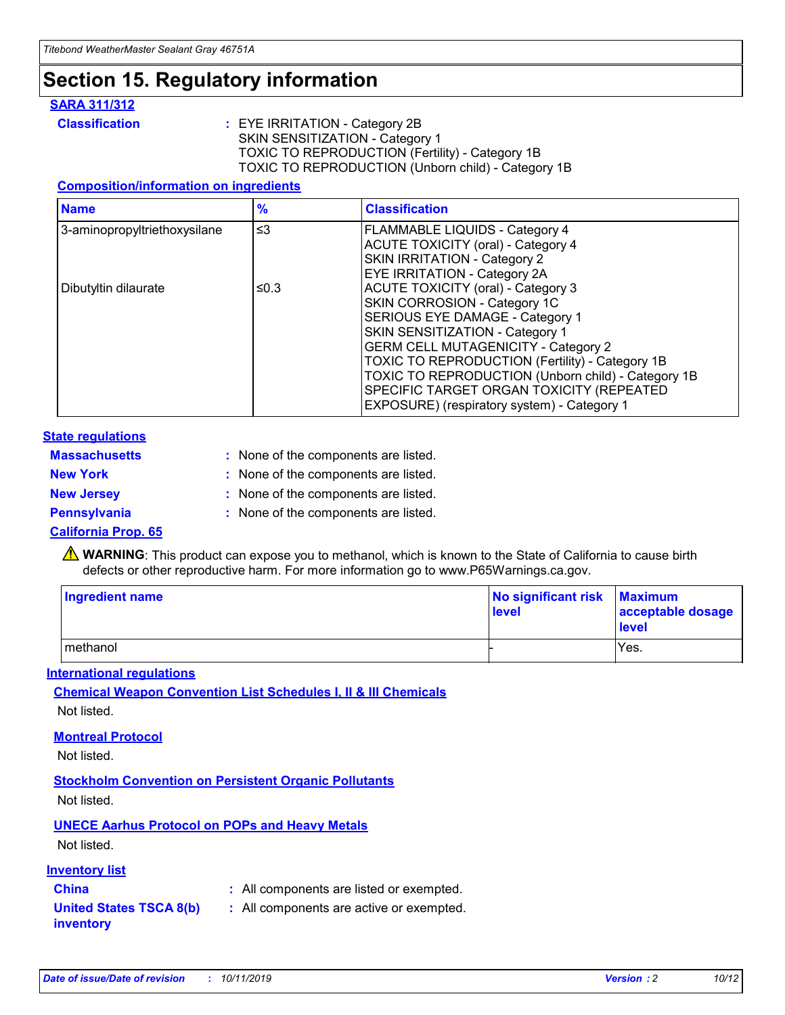## **Section 15. Regulatory information**

#### **SARA 311/312**

**Classification :** EYE IRRITATION - Category 2B SKIN SENSITIZATION - Category 1 TOXIC TO REPRODUCTION (Fertility) - Category 1B TOXIC TO REPRODUCTION (Unborn child) - Category 1B

#### **Composition/information on ingredients**

| <b>Name</b>                              | $\frac{9}{6}$ | <b>Classification</b>                                                                                            |
|------------------------------------------|---------------|------------------------------------------------------------------------------------------------------------------|
| $\leq$ 3<br>3-aminopropyltriethoxysilane |               | <b>FLAMMABLE LIQUIDS - Category 4</b><br><b>ACUTE TOXICITY (oral) - Category 4</b>                               |
|                                          |               | SKIN IRRITATION - Category 2<br>EYE IRRITATION - Category 2A                                                     |
| Dibutyltin dilaurate                     | ≤0.3          | ACUTE TOXICITY (oral) - Category 3<br>SKIN CORROSION - Category 1C                                               |
|                                          |               | SERIOUS EYE DAMAGE - Category 1<br>SKIN SENSITIZATION - Category 1<br><b>GERM CELL MUTAGENICITY - Category 2</b> |
|                                          |               | TOXIC TO REPRODUCTION (Fertility) - Category 1B<br>TOXIC TO REPRODUCTION (Unborn child) - Category 1B            |
|                                          |               | SPECIFIC TARGET ORGAN TOXICITY (REPEATED<br>EXPOSURE) (respiratory system) - Category 1                          |

#### **State regulations**

| <b>Massachusetts</b> | : None of the components are listed. |
|----------------------|--------------------------------------|
| <b>New York</b>      | : None of the components are listed. |
| <b>New Jersey</b>    | : None of the components are listed. |
| <b>Pennsylvania</b>  | : None of the components are listed. |

#### **California Prop. 65**

**A** WARNING: This product can expose you to methanol, which is known to the State of California to cause birth defects or other reproductive harm. For more information go to www.P65Warnings.ca.gov.

| <b>Ingredient name</b> | No significant risk Maximum<br>level | acceptable dosage<br>level |
|------------------------|--------------------------------------|----------------------------|
| methanol               |                                      | Yes.                       |

#### **International regulations**

**Chemical Weapon Convention List Schedules I, II & III Chemicals** Not listed.

#### **Montreal Protocol**

Not listed.

#### **Stockholm Convention on Persistent Organic Pollutants**

Not listed.

### **UNECE Aarhus Protocol on POPs and Heavy Metals**

Not listed.

#### **Inventory list**

### **China :** All components are listed or exempted.

**United States TSCA 8(b) inventory :** All components are active or exempted.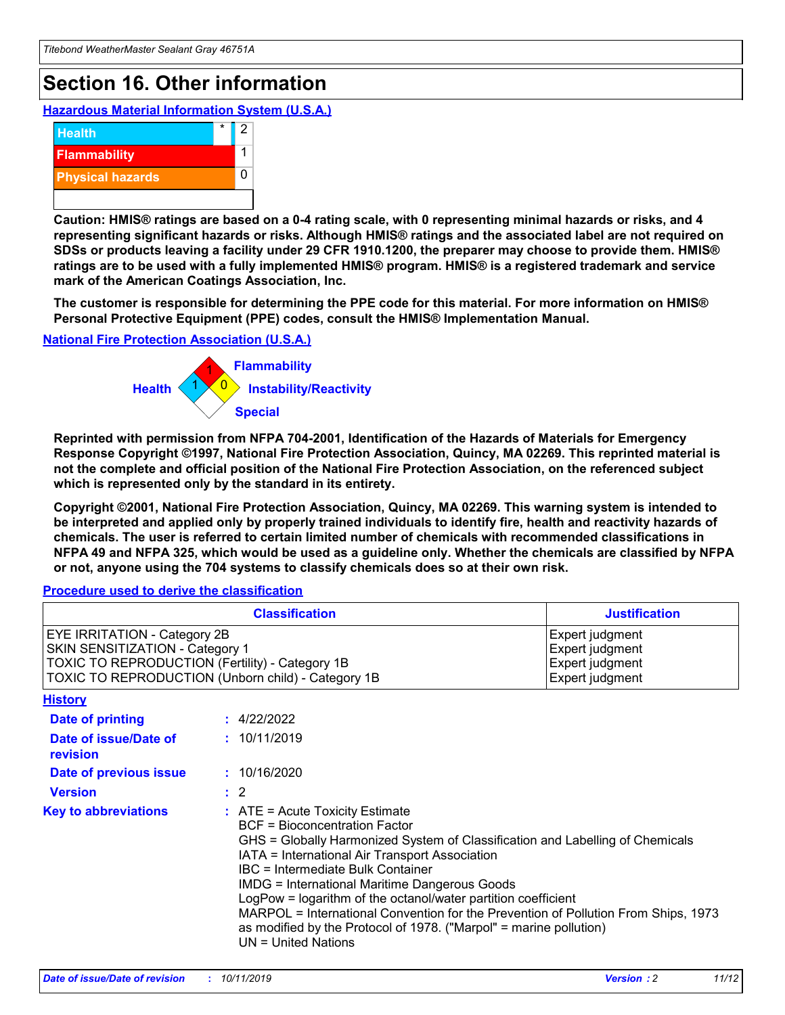## **Section 16. Other information**

**Hazardous Material Information System (U.S.A.)**



**Caution: HMIS® ratings are based on a 0-4 rating scale, with 0 representing minimal hazards or risks, and 4 representing significant hazards or risks. Although HMIS® ratings and the associated label are not required on SDSs or products leaving a facility under 29 CFR 1910.1200, the preparer may choose to provide them. HMIS® ratings are to be used with a fully implemented HMIS® program. HMIS® is a registered trademark and service mark of the American Coatings Association, Inc.**

**The customer is responsible for determining the PPE code for this material. For more information on HMIS® Personal Protective Equipment (PPE) codes, consult the HMIS® Implementation Manual.**

#### **National Fire Protection Association (U.S.A.)**



**Reprinted with permission from NFPA 704-2001, Identification of the Hazards of Materials for Emergency Response Copyright ©1997, National Fire Protection Association, Quincy, MA 02269. This reprinted material is not the complete and official position of the National Fire Protection Association, on the referenced subject which is represented only by the standard in its entirety.**

**Copyright ©2001, National Fire Protection Association, Quincy, MA 02269. This warning system is intended to be interpreted and applied only by properly trained individuals to identify fire, health and reactivity hazards of chemicals. The user is referred to certain limited number of chemicals with recommended classifications in NFPA 49 and NFPA 325, which would be used as a guideline only. Whether the chemicals are classified by NFPA or not, anyone using the 704 systems to classify chemicals does so at their own risk.**

#### **Procedure used to derive the classification**

| <b>Classification</b>                                                                                                                                                                  |                                                                                                                                                                                                                                                                   | <b>Justification</b>                                                                                                                                                                                                                                                                                       |  |
|----------------------------------------------------------------------------------------------------------------------------------------------------------------------------------------|-------------------------------------------------------------------------------------------------------------------------------------------------------------------------------------------------------------------------------------------------------------------|------------------------------------------------------------------------------------------------------------------------------------------------------------------------------------------------------------------------------------------------------------------------------------------------------------|--|
| <b>EYE IRRITATION - Category 2B</b><br>SKIN SENSITIZATION - Category 1<br><b>TOXIC TO REPRODUCTION (Fertility) - Category 1B</b><br>TOXIC TO REPRODUCTION (Unborn child) - Category 1B |                                                                                                                                                                                                                                                                   | Expert judgment<br>Expert judgment<br>Expert judgment<br>Expert judgment                                                                                                                                                                                                                                   |  |
| <b>History</b>                                                                                                                                                                         |                                                                                                                                                                                                                                                                   |                                                                                                                                                                                                                                                                                                            |  |
| Date of printing                                                                                                                                                                       | : 4/22/2022                                                                                                                                                                                                                                                       |                                                                                                                                                                                                                                                                                                            |  |
| Date of issue/Date of<br>revision                                                                                                                                                      | : 10/11/2019                                                                                                                                                                                                                                                      |                                                                                                                                                                                                                                                                                                            |  |
| Date of previous issue                                                                                                                                                                 | : 10/16/2020                                                                                                                                                                                                                                                      |                                                                                                                                                                                                                                                                                                            |  |
| <b>Version</b>                                                                                                                                                                         | $\therefore$ 2                                                                                                                                                                                                                                                    |                                                                                                                                                                                                                                                                                                            |  |
| <b>Key to abbreviations</b>                                                                                                                                                            | $\therefore$ ATE = Acute Toxicity Estimate<br><b>BCF</b> = Bioconcentration Factor<br>IATA = International Air Transport Association<br><b>IBC</b> = Intermediate Bulk Container<br><b>IMDG = International Maritime Dangerous Goods</b><br>$UN = United Nations$ | GHS = Globally Harmonized System of Classification and Labelling of Chemicals<br>LogPow = logarithm of the octanol/water partition coefficient<br>MARPOL = International Convention for the Prevention of Pollution From Ships, 1973<br>as modified by the Protocol of 1978. ("Marpol" = marine pollution) |  |